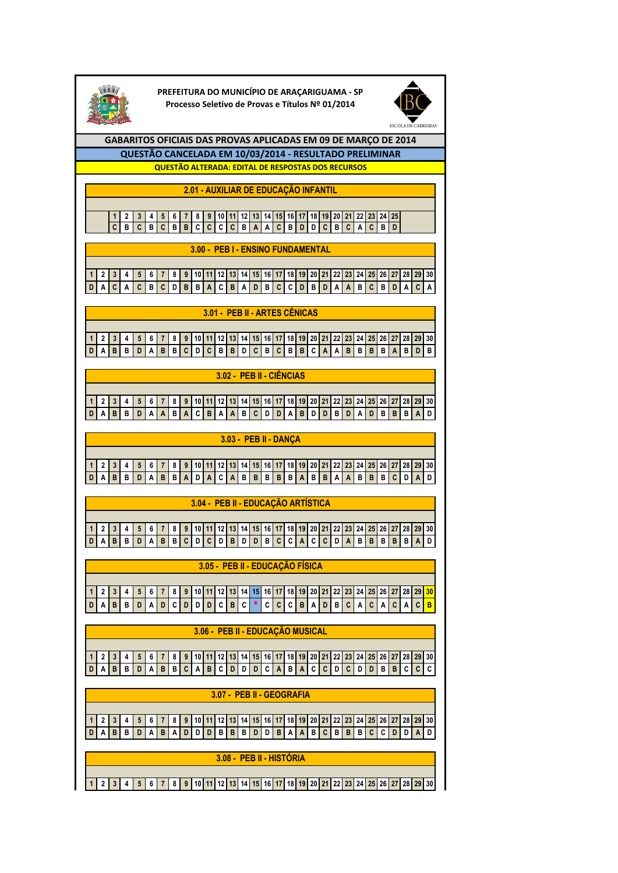

**PREFEITURA DO MUNICÍPIO DE ARAÇARIGUAMA - SP Processo Seletivo de Provas e Títulos Nº 01/2014**



**GABARITOS OFICIAIS DAS PROVAS APLICADAS EM 09 DE MARÇO DE 2014 QUESTÃO ALTERADA: EDITAL DE RESPOSTAS DOS RECURSOS QUESTÃO CANCELADA EM 10/03/2014 - RESULTADO PRELIMINAR**

**2.01 - AUXILIAR DE EDUCAÇÃO INFANTIL**

2 3 4 5 6 7 8 9 10 11 12 13 14 15 16 17 18 19 20 21 22 **C B C B C B B C C C C B A A C B D D C B C A C B D**

**3.00 - PEB I - ENSINO FUNDAMENTAL**

1 2 3 4 5 6 7 8 9 10 11 12 13 14 15 16 17 18 20 21 22 23 24 25 26 27 28 **D A C A C B C D B B A C B A D B C C D B D A A B C B D A C A**

**3.01 - PEB II - ARTES CÊNICAS**

1 2 3 4 5 6 7 8 9 10 11 12 13 14 15 16 17 18 20 21 22 23 24 25 26 27 28 29 30 **D A B B D A B B C D C B B D C B C B B C A A B B B B A B D B**

**3.02 - PEB II - CIÊNCIAS**

1 | 2 | 3 | 4 | 5 | 6 | 7 | 8 | 9 | 10 | 11 | 12 | 13 | 14 | 15 | 16 | 17 | 18 | 19 | 20 | 21 | 22 | 23 | 24 | 25 | 26 | 27 | 28 | 29 | 30 D | A | B | B | D | A | A | B | A | C | B | A | A | B | C | D | D | A | B | D | D | B | B | A | D | B | B | B

**3.03 - PEB II - DANÇA**

1 2 3 4 5 6 7 8 9 10 11 2 3 4 5 6 7 8 9 30 31  $D$  A B B D A B B A D A C A B B B B B A B B A A B B B C D A D

**3.04 - PEB II - EDUCAÇÃO ARTÍSTICA**

1 2 3 4 5 6 7 8 9 10 11 12 13 14 15 16 17 18 20 21 22 23 24 25 26 27 28 29 30 D A B B D A B B C D C D B D B C C A C C D A B B B B B A D

**3.05 - PEB II - EDUCAÇÃO FÍSICA**

1 2 3 4 5 6 7 8 9 10 11 12 13 14 15 16 17 18 20 21 22 23 24 25 26 27 28 29 30 **<sup>D</sup> <sup>A</sup> <sup>B</sup> <sup>B</sup> <sup>D</sup> <sup>A</sup> <sup>D</sup> <sup>C</sup> <sup>D</sup> <sup>D</sup> <sup>D</sup> <sup>C</sup> <sup>B</sup> <sup>C</sup> \* <sup>C</sup> <sup>C</sup> <sup>C</sup> <sup>B</sup> <sup>A</sup> <sup>D</sup> <sup>B</sup> <sup>C</sup> <sup>A</sup> <sup>C</sup> <sup>A</sup> <sup>C</sup> <sup>A</sup> <sup>C</sup> <sup>B</sup>**

**3.06 - PEB II - EDUCAÇÃO MUSICAL**

1 | 2 | 3 | 4 | 5 | 6 | 7 | 8 | 9 | 10 | 11 | 12 | 13 | 14 | 15 | 16 | 17 | 18 | 19 | 20 | 21 | 22 | 23 | 24 | 25 | 26 | 27 | 28 | 29 | 30 **D A B B D A B B C A B C D D D C A B A C C D C D D B B C C C**

**3.07 - PEB II - GEOGRAFIA**

1 | 2 | 3 | 4 | 5 | 6 | 7 | 8 | 9 | 10 | 11 | 12 | 13 | 14 | 15 | 16 | 17 | 18 | 19 | 20 | 21 | 22 | 23 | 24 | 25 | 26 | 27 | 28 | 29 | 30 **D A B B D A B A D D D B B B D D B A A B C B B B C C D D A D**

**3.08 - PEB II - HISTÓRIA**

2 3 4 5 6 7 8 9 10 11 12 13 14 15 16 17 18 20 21 22 23 24 25 26 27 28 29 30